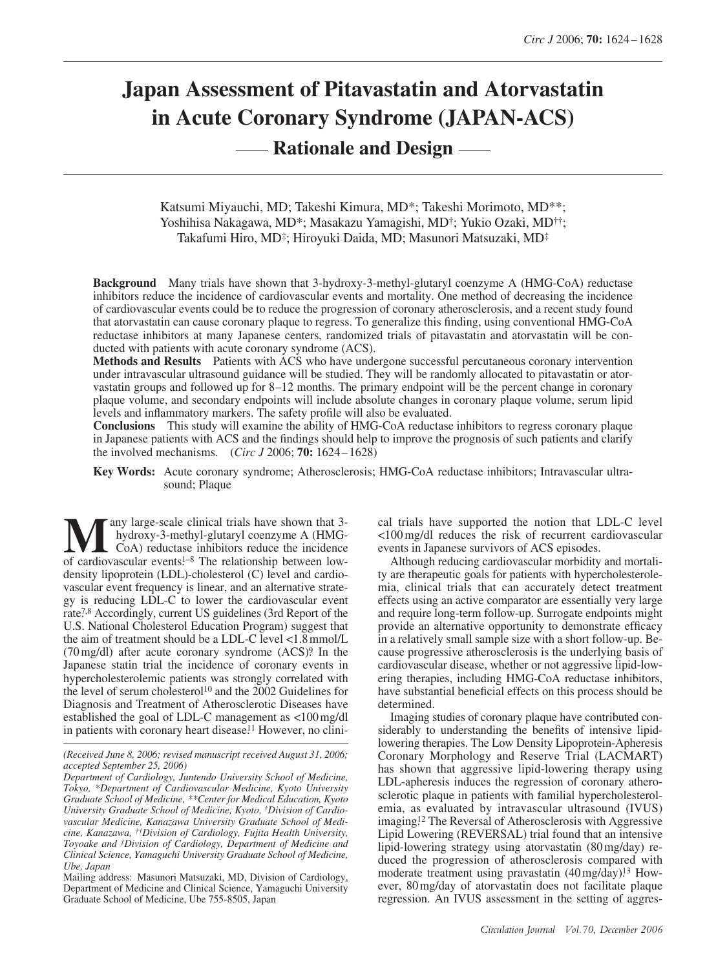# **Japan Assessment of Pitavastatin and Atorvastatin in Acute Coronary Syndrome (JAPAN-ACS) --- Rationale and Design -**

Katsumi Miyauchi, MD; Takeshi Kimura, MD\*; Takeshi Morimoto, MD\*\*; Yoshihisa Nakagawa, MD\*; Masakazu Yamagishi, MD†; Yukio Ozaki, MD††; Takafumi Hiro, MD‡; Hiroyuki Daida, MD; Masunori Matsuzaki, MD‡

**Background** Many trials have shown that 3-hydroxy-3-methyl-glutaryl coenzyme A (HMG-CoA) reductase inhibitors reduce the incidence of cardiovascular events and mortality. One method of decreasing the incidence of cardiovascular events could be to reduce the progression of coronary atherosclerosis, and a recent study found that atorvastatin can cause coronary plaque to regress. To generalize this finding, using conventional HMG-CoA reductase inhibitors at many Japanese centers, randomized trials of pitavastatin and atorvastatin will be conducted with patients with acute coronary syndrome (ACS).

**Methods and Results** Patients with ACS who have undergone successful percutaneous coronary intervention under intravascular ultrasound guidance will be studied. They will be randomly allocated to pitavastatin or atorvastatin groups and followed up for 8–12 months. The primary endpoint will be the percent change in coronary plaque volume, and secondary endpoints will include absolute changes in coronary plaque volume, serum lipid levels and inflammatory markers. The safety profile will also be evaluated.

**Conclusions** This study will examine the ability of HMG-CoA reductase inhibitors to regress coronary plaque in Japanese patients with ACS and the findings should help to improve the prognosis of such patients and clarify the involved mechanisms. (*Circ J* 2006; **70:** 1624 – 1628)

**Key Words:** Acute coronary syndrome; Atherosclerosis; HMG-CoA reductase inhibitors; Intravascular ultrasound; Plaque

any large-scale clinical trials have shown that 3 hydroxy-3-methyl-glutaryl coenzyme A (HMG-CoA) reductase inhibitors reduce the incidence **M** any large-scale clinical trials have shown that 3-hydroxy-3-methyl-glutaryl coenzyme A (HMG-CoA) reductase inhibitors reduce the incidence of cardiovascular events!<sup>-8</sup> The relationship between lowdensity lipoprotein (LDL)-cholesterol (C) level and cardiovascular event frequency is linear, and an alternative strategy is reducing LDL-C to lower the cardiovascular event rate<sup>7,8</sup> Accordingly, current US guidelines (3rd Report of the U.S. National Cholesterol Education Program) suggest that the aim of treatment should be a LDL-C level <1.8 mmol/L  $(70 \text{ mg/dl})$  after acute coronary syndrome  $(ACS)^9$ . In the Japanese statin trial the incidence of coronary events in hypercholesterolemic patients was strongly correlated with the level of serum cholesterol<sup>10</sup> and the 2002 Guidelines for Diagnosis and Treatment of Atherosclerotic Diseases have established the goal of LDL-C management as <100 mg/dl in patients with coronary heart disease.<sup>11</sup> However, no clini-

Mailing address: Masunori Matsuzaki, MD, Division of Cardiology, Department of Medicine and Clinical Science, Yamaguchi University Graduate School of Medicine, Ube 755-8505, Japan

cal trials have supported the notion that LDL-C level <100 mg/dl reduces the risk of recurrent cardiovascular events in Japanese survivors of ACS episodes.

Although reducing cardiovascular morbidity and mortality are therapeutic goals for patients with hypercholesterolemia, clinical trials that can accurately detect treatment effects using an active comparator are essentially very large and require long-term follow-up. Surrogate endpoints might provide an alternative opportunity to demonstrate efficacy in a relatively small sample size with a short follow-up. Because progressive atherosclerosis is the underlying basis of cardiovascular disease, whether or not aggressive lipid-lowering therapies, including HMG-CoA reductase inhibitors, have substantial beneficial effects on this process should be determined.

Imaging studies of coronary plaque have contributed considerably to understanding the benefits of intensive lipidlowering therapies. The Low Density Lipoprotein-Apheresis Coronary Morphology and Reserve Trial (LACMART) has shown that aggressive lipid-lowering therapy using LDL-apheresis induces the regression of coronary atherosclerotic plaque in patients with familial hypercholesterolemia, as evaluated by intravascular ultrasound (IVUS) imaging.12 The Reversal of Atherosclerosis with Aggressive Lipid Lowering (REVERSAL) trial found that an intensive lipid-lowering strategy using atorvastatin (80 mg/day) reduced the progression of atherosclerosis compared with moderate treatment using pravastatin (40 mg/day).<sup>13</sup> However, 80 mg/day of atorvastatin does not facilitate plaque regression. An IVUS assessment in the setting of aggres-

*<sup>(</sup>Received June 8, 2006; revised manuscript received August 31, 2006; accepted September 25, 2006)*

*Department of Cardiology, Juntendo University School of Medicine, Tokyo, \*Department of Cardiovascular Medicine, Kyoto University Graduate School of Medicine, \*\*Center for Medical Education, Kyoto University Graduate School of Medicine, Kyoto, †Division of Cardiovascular Medicine, Kanazawa University Graduate School of Medicine, Kanazawa, ††Division of Cardiology, Fujita Health University, Toyoake and ‡Division of Cardiology, Department of Medicine and Clinical Science, Yamaguchi University Graduate School of Medicine, Ube, Japan*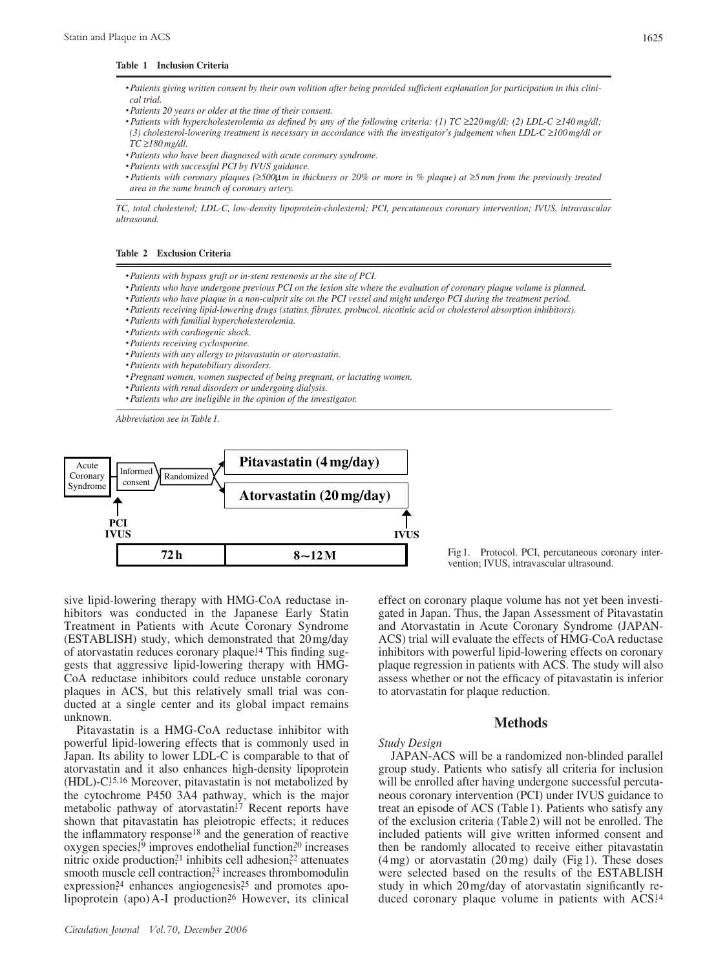#### **Table 1 Inclusion Criteria**

- *•Patients giving written consent by their own volition after being provided sufficient explanation for participation in this clinical trial.*
- *•Patients 20 years or older at the time of their consent.*
- *• Patients with hypercholesterolemia as defined by any of the following criteria: (1) TC* ≥*220 mg/dl; (2) LDL-C* ≥*140 mg/dl; (3) cholesterol-lowering treatment is necessary in accordance with the investigator's judgement when LDL-C* ≥*100 mg/dl or TC* ≥*180 mg/dl.*
- *•Patients who have been diagnosed with acute coronary syndrome.*
- *•Patients with successful PCI by IVUS guidance.*
- *• Patients with coronary plaques (*≥*500*μ*m in thickness or 20% or more in % plaque) at* ≥*5 mm from the previously treated area in the same branch of coronary artery.*

*TC, total cholesterol; LDL-C, low-density lipoprotein-cholesterol; PCI, percutaneous coronary intervention; IVUS, intravascular ultrasound.*

## **Table 2 Exclusion Criteria**

- *•Patients with bypass graft or in-stent restenosis at the site of PCI.*
- *•Patients who have undergone previous PCI on the lesion site where the evaluation of coronary plaque volume is planned.*
- *•Patients who have plaque in a non-culprit site on the PCI vessel and might undergo PCI during the treatment period.*
- *•Patients receiving lipid-lowering drugs (statins, fibrates, probucol, nicotinic acid or cholesterol absorption inhibitors).*
- *•Patients with familial hypercholesterolemia.*
- *•Patients with cardiogenic shock.*
- *•Patients receiving cyclosporine.*
- *•Patients with any allergy to pitavastatin or atorvastatin.*
- *•Patients with hepatobiliary disorders.*
- *•Pregnant women, women suspected of being pregnant, or lactating women.*
- *•Patients with renal disorders or undergoing dialysis.*
- *•Patients who are ineligible in the opinion of the investigator.*

*Abbreviation see in Table 1.*



sive lipid-lowering therapy with HMG-CoA reductase inhibitors was conducted in the Japanese Early Statin Treatment in Patients with Acute Coronary Syndrome (ESTABLISH) study, which demonstrated that 20 mg/day of atorvastatin reduces coronary plaque.14 This finding suggests that aggressive lipid-lowering therapy with HMG-CoA reductase inhibitors could reduce unstable coronary plaques in ACS, but this relatively small trial was conducted at a single center and its global impact remains unknown.

Pitavastatin is a HMG-CoA reductase inhibitor with powerful lipid-lowering effects that is commonly used in Japan. Its ability to lower LDL-C is comparable to that of atorvastatin and it also enhances high-density lipoprotein (HDL)-C.15,16 Moreover, pitavastatin is not metabolized by the cytochrome P450 3A4 pathway, which is the major metabolic pathway of atorvastatin.<sup>17</sup> Recent reports have shown that pitavastatin has pleiotropic effects; it reduces the inflammatory response18 and the generation of reactive oxygen species,<sup>19</sup> improves endothelial function,<sup>20</sup> increases nitric oxide production,<sup>21</sup> inhibits cell adhesion,<sup>22</sup> attenuates smooth muscle cell contraction,<sup>23</sup> increases thrombomodulin expression,<sup>24</sup> enhances angiogenesis,<sup>25</sup> and promotes apolipoprotein (apo) A-I production.<sup>26</sup> However, its clinical

Fig 1. Protocol. PCI, percutaneous coronary intervention; IVUS, intravascular ultrasound.

effect on coronary plaque volume has not yet been investigated in Japan. Thus, the Japan Assessment of Pitavastatin and Atorvastatin in Acute Coronary Syndrome (JAPAN-ACS) trial will evaluate the effects of HMG-CoA reductase inhibitors with powerful lipid-lowering effects on coronary plaque regression in patients with ACS. The study will also assess whether or not the efficacy of pitavastatin is inferior to atorvastatin for plaque reduction.

## **Methods**

### *Study Design*

JAPAN-ACS will be a randomized non-blinded parallel group study. Patients who satisfy all criteria for inclusion will be enrolled after having undergone successful percutaneous coronary intervention (PCI) under IVUS guidance to treat an episode of ACS (Table 1). Patients who satisfy any of the exclusion criteria (Table 2) will not be enrolled. The included patients will give written informed consent and then be randomly allocated to receive either pitavastatin (4 mg) or atorvastatin (20 mg) daily (Fig 1). These doses were selected based on the results of the ESTABLISH study in which 20 mg/day of atorvastatin significantly reduced coronary plaque volume in patients with ACS.<sup>14</sup>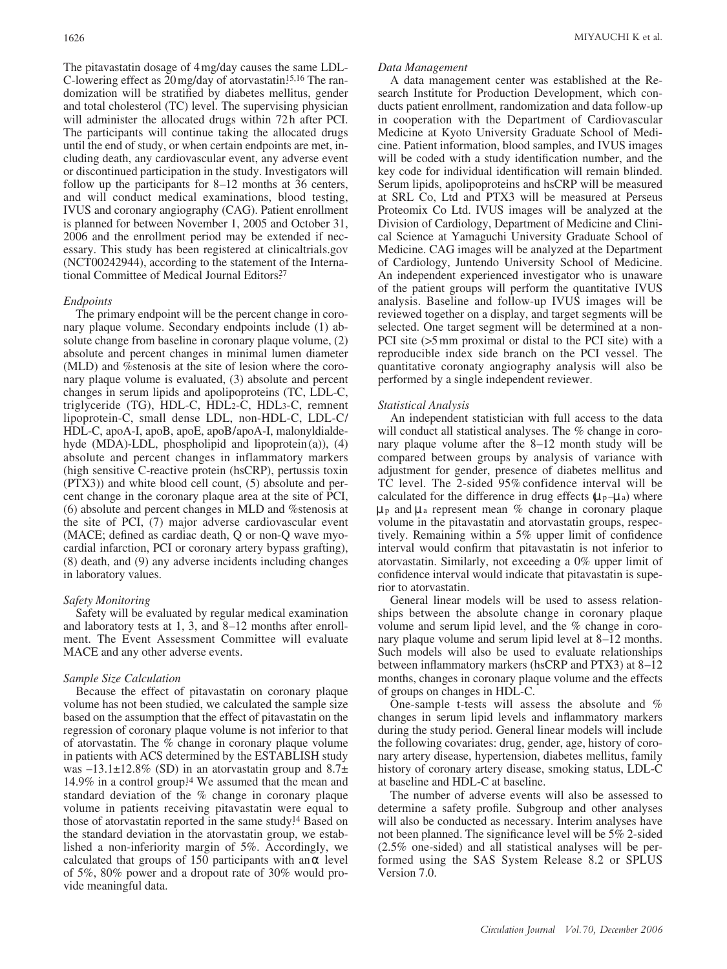The pitavastatin dosage of 4 mg/day causes the same LDL-C-lowering effect as 20 mg/day of atorvastatin.15,16 The randomization will be stratified by diabetes mellitus, gender and total cholesterol (TC) level. The supervising physician will administer the allocated drugs within 72h after PCI. The participants will continue taking the allocated drugs until the end of study, or when certain endpoints are met, including death, any cardiovascular event, any adverse event or discontinued participation in the study. Investigators will follow up the participants for 8–12 months at 36 centers, and will conduct medical examinations, blood testing, IVUS and coronary angiography (CAG). Patient enrollment is planned for between November 1, 2005 and October 31, 2006 and the enrollment period may be extended if necessary. This study has been registered at clinicaltrials.gov (NCT00242944), according to the statement of the International Committee of Medical Journal Editors.<sup>27</sup>

## *Endpoints*

The primary endpoint will be the percent change in coronary plaque volume. Secondary endpoints include (1) absolute change from baseline in coronary plaque volume, (2) absolute and percent changes in minimal lumen diameter (MLD) and %stenosis at the site of lesion where the coronary plaque volume is evaluated, (3) absolute and percent changes in serum lipids and apolipoproteins (TC, LDL-C, triglyceride (TG), HDL-C, HDL2-C, HDL3-C, remnent lipoprotein-C, small dense LDL, non-HDL-C, LDL-C/ HDL-C, apoA-I, apoB, apoE, apoB/apoA-I, malonyldialdehyde (MDA)-LDL, phospholipid and lipoprotein (a)), (4) absolute and percent changes in inflammatory markers (high sensitive C-reactive protein (hsCRP), pertussis toxin (PTX3)) and white blood cell count, (5) absolute and percent change in the coronary plaque area at the site of PCI, (6) absolute and percent changes in MLD and %stenosis at the site of PCI, (7) major adverse cardiovascular event (MACE; defined as cardiac death, Q or non-Q wave myocardial infarction, PCI or coronary artery bypass grafting), (8) death, and (9) any adverse incidents including changes in laboratory values.

## *Safety Monitoring*

Safety will be evaluated by regular medical examination and laboratory tests at 1, 3, and 8–12 months after enrollment. The Event Assessment Committee will evaluate MACE and any other adverse events.

## *Sample Size Calculation*

Because the effect of pitavastatin on coronary plaque volume has not been studied, we calculated the sample size based on the assumption that the effect of pitavastatin on the regression of coronary plaque volume is not inferior to that of atorvastatin. The % change in coronary plaque volume in patients with ACS determined by the ESTABLISH study was  $-13.1\pm12.8\%$  (SD) in an atorvastatin group and  $8.7\pm$ 14.9% in a control group.<sup>14</sup> We assumed that the mean and standard deviation of the % change in coronary plaque volume in patients receiving pitavastatin were equal to those of atorvastatin reported in the same study.<sup>14</sup> Based on the standard deviation in the atorvastatin group, we established a non-inferiority margin of 5%. Accordingly, we calculated that groups of 150 participants with an level of 5%, 80% power and a dropout rate of 30% would provide meaningful data.

## *Data Management*

A data management center was established at the Research Institute for Production Development, which conducts patient enrollment, randomization and data follow-up in cooperation with the Department of Cardiovascular Medicine at Kyoto University Graduate School of Medicine. Patient information, blood samples, and IVUS images will be coded with a study identification number, and the key code for individual identification will remain blinded. Serum lipids, apolipoproteins and hsCRP will be measured at SRL Co, Ltd and PTX3 will be measured at Perseus Proteomix Co Ltd. IVUS images will be analyzed at the Division of Cardiology, Department of Medicine and Clinical Science at Yamaguchi University Graduate School of Medicine. CAG images will be analyzed at the Department of Cardiology, Juntendo University School of Medicine. An independent experienced investigator who is unaware of the patient groups will perform the quantitative IVUS analysis. Baseline and follow-up IVUS images will be reviewed together on a display, and target segments will be selected. One target segment will be determined at a non-PCI site (>5 mm proximal or distal to the PCI site) with a reproducible index side branch on the PCI vessel. The quantitative coronaty angiography analysis will also be performed by a single independent reviewer.

#### *Statistical Analysis*

An independent statistician with full access to the data will conduct all statistical analyses. The % change in coronary plaque volume after the 8–12 month study will be compared between groups by analysis of variance with adjustment for gender, presence of diabetes mellitus and TC level. The 2-sided 95% confidence interval will be calculated for the difference in drug effects  $(\mu_p - \mu_a)$  where μ<sup>p</sup> and μ<sup>a</sup> represent mean % change in coronary plaque volume in the pitavastatin and atorvastatin groups, respectively. Remaining within a 5% upper limit of confidence interval would confirm that pitavastatin is not inferior to atorvastatin. Similarly, not exceeding a 0% upper limit of confidence interval would indicate that pitavastatin is superior to atorvastatin.

General linear models will be used to assess relationships between the absolute change in coronary plaque volume and serum lipid level, and the % change in coronary plaque volume and serum lipid level at 8–12 months. Such models will also be used to evaluate relationships between inflammatory markers (hsCRP and PTX3) at 8–12 months, changes in coronary plaque volume and the effects of groups on changes in HDL-C.

One-sample t-tests will assess the absolute and % changes in serum lipid levels and inflammatory markers during the study period. General linear models will include the following covariates: drug, gender, age, history of coronary artery disease, hypertension, diabetes mellitus, family history of coronary artery disease, smoking status, LDL-C at baseline and HDL-C at baseline.

The number of adverse events will also be assessed to determine a safety profile. Subgroup and other analyses will also be conducted as necessary. Interim analyses have not been planned. The significance level will be 5% 2-sided (2.5% one-sided) and all statistical analyses will be performed using the SAS System Release 8.2 or SPLUS Version 7.0.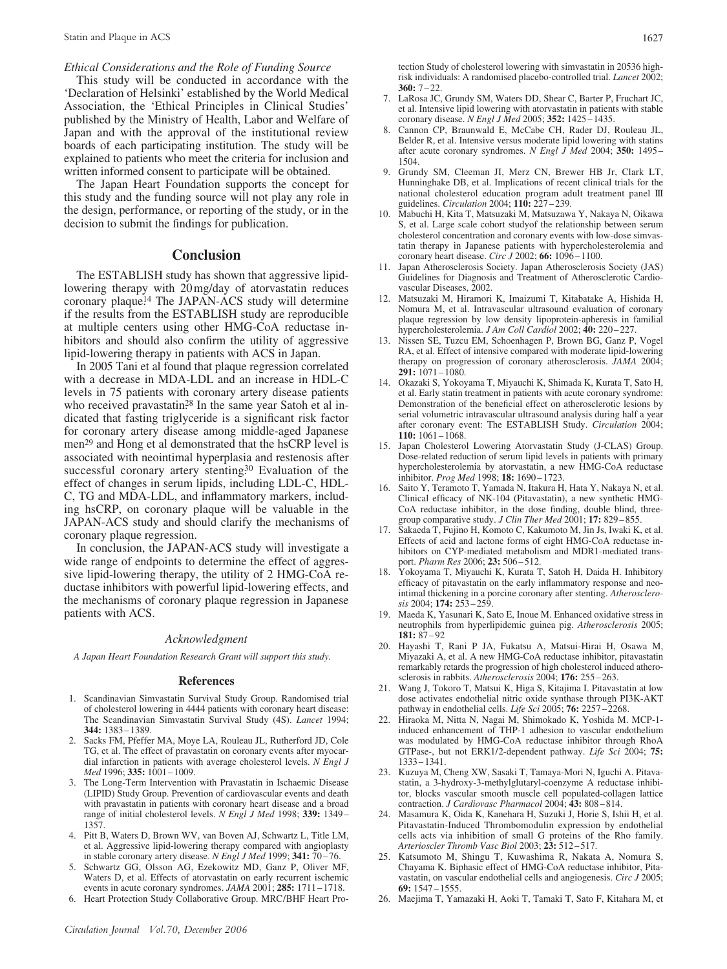## *Ethical Considerations and the Role of Funding Source*

This study will be conducted in accordance with the 'Declaration of Helsinki' established by the World Medical Association, the 'Ethical Principles in Clinical Studies' published by the Ministry of Health, Labor and Welfare of Japan and with the approval of the institutional review boards of each participating institution. The study will be explained to patients who meet the criteria for inclusion and written informed consent to participate will be obtained.

The Japan Heart Foundation supports the concept for this study and the funding source will not play any role in the design, performance, or reporting of the study, or in the decision to submit the findings for publication.

## **Conclusion**

The ESTABLISH study has shown that aggressive lipidlowering therapy with 20 mg/day of atorvastatin reduces coronary plaque.14 The JAPAN-ACS study will determine if the results from the ESTABLISH study are reproducible at multiple centers using other HMG-CoA reductase inhibitors and should also confirm the utility of aggressive lipid-lowering therapy in patients with ACS in Japan.

In 2005 Tani et al found that plaque regression correlated with a decrease in MDA-LDL and an increase in HDL-C levels in 75 patients with coronary artery disease patients who received pravastatin.<sup>28</sup> In the same year Satoh et al indicated that fasting triglyceride is a significant risk factor for coronary artery disease among middle-aged Japanese men<sup>29</sup> and Hong et al demonstrated that the hsCRP level is associated with neointimal hyperplasia and restenosis after successful coronary artery stenting.<sup>30</sup> Evaluation of the effect of changes in serum lipids, including LDL-C, HDL-C, TG and MDA-LDL, and inflammatory markers, including hsCRP, on coronary plaque will be valuable in the JAPAN-ACS study and should clarify the mechanisms of coronary plaque regression.

In conclusion, the JAPAN-ACS study will investigate a wide range of endpoints to determine the effect of aggressive lipid-lowering therapy, the utility of 2 HMG-CoA reductase inhibitors with powerful lipid-lowering effects, and the mechanisms of coronary plaque regression in Japanese patients with ACS.

### *Acknowledgment*

*A Japan Heart Foundation Research Grant will support this study.*

#### **References**

- 1. Scandinavian Simvastatin Survival Study Group. Randomised trial of cholesterol lowering in 4444 patients with coronary heart disease: The Scandinavian Simvastatin Survival Study (4S). *Lancet* 1994; **344:** 1383 – 1389.
- Sacks FM, Pfeffer MA, Moye LA, Rouleau JL, Rutherford JD, Cole TG, et al. The effect of pravastatin on coronary events after myocardial infarction in patients with average cholesterol levels. *N Engl J Med* 1996; **335:** 1001 – 1009.
- 3. The Long-Term Intervention with Pravastatin in Ischaemic Disease (LIPID) Study Group. Prevention of cardiovascular events and death with pravastatin in patients with coronary heart disease and a broad range of initial cholesterol levels. *N Engl J Med* 1998; **339:** 1349 – 1357.
- 4. Pitt B, Waters D, Brown WV, van Boven AJ, Schwartz L, Title LM, et al. Aggressive lipid-lowering therapy compared with angioplasty in stable coronary artery disease. *N Engl J Med* 1999; **341:** 70 – 76.
- 5. Schwartz GG, Olsson AG, Ezekowitz MD, Ganz P, Oliver MF, Waters D, et al. Effects of atorvastatin on early recurrent ischemic events in acute coronary syndromes. *JAMA* 2001; **285:** 1711 – 1718.
- 6. Heart Protection Study Collaborative Group. MRC/BHF Heart Pro-

tection Study of cholesterol lowering with simvastatin in 20536 highrisk individuals: A randomised placebo-controlled trial. *Lancet* 2002; **360:** 7 –22.

- 7. LaRosa JC, Grundy SM, Waters DD, Shear C, Barter P, Fruchart JC, et al. Intensive lipid lowering with atorvastatin in patients with stable coronary disease. *N Engl J Med* 2005; **352:** 1425 – 1435.
- 8. Cannon CP, Braunwald E, McCabe CH, Rader DJ, Rouleau JL, Belder R, et al. Intensive versus moderate lipid lowering with statins after acute coronary syndromes. *N Engl J Med* 2004; **350:** 1495 – 1504.
- 9. Grundy SM, Cleeman JI, Merz CN, Brewer HB Jr, Clark LT, Hunninghake DB, et al. Implications of recent clinical trials for the national cholesterol education program adult treatment panel III guidelines. *Circulation* 2004; **110:** 227 – 239.
- 10. Mabuchi H, Kita T, Matsuzaki M, Matsuzawa Y, Nakaya N, Oikawa S, et al. Large scale cohort studyof the relationship between serum cholesterol concentration and coronary events with low-dose simvastatin therapy in Japanese patients with hypercholesterolemia and coronary heart disease. *Circ J* 2002; **66:** 1096 – 1100.
- 11. Japan Atherosclerosis Society. Japan Atherosclerosis Society (JAS) Guidelines for Diagnosis and Treatment of Atherosclerotic Cardiovascular Diseases, 2002.
- 12. Matsuzaki M, Hiramori K, Imaizumi T, Kitabatake A, Hishida H, Nomura M, et al. Intravascular ultrasound evaluation of coronary plaque regression by low density lipoprotein-apheresis in familial hypercholesterolemia. *J Am Coll Cardiol* 2002; **40:** 220 – 227.
- 13. Nissen SE, Tuzcu EM, Schoenhagen P, Brown BG, Ganz P, Vogel RA, et al. Effect of intensive compared with moderate lipid-lowering therapy on progression of coronary atherosclerosis. *JAMA* 2004; **291:** 1071 – 1080.
- 14. Okazaki S, Yokoyama T, Miyauchi K, Shimada K, Kurata T, Sato H, et al. Early statin treatment in patients with acute coronary syndrome: Demonstration of the beneficial effect on atherosclerotic lesions by serial volumetric intravascular ultrasound analysis during half a year after coronary event: The ESTABLISH Study. *Circulation* 2004; **110:** 1061 – 1068.
- 15. Japan Cholesterol Lowering Atorvastatin Study (J-CLAS) Group. Dose-related reduction of serum lipid levels in patients with primary hypercholesterolemia by atorvastatin, a new HMG-CoA reductase inhibitor. *Prog Med* 1998; **18:** 1690 – 1723.
- 16. Saito Y, Teramoto T, Yamada N, Itakura H, Hata Y, Nakaya N, et al. Clinical efficacy of NK-104 (Pitavastatin), a new synthetic HMG-CoA reductase inhibitor, in the dose finding, double blind, threegroup comparative study. *J Clin Ther Med* 2001; **17:** 829 – 855.
- 17. Sakaeda T, Fujino H, Komoto C, Kakumoto M, Jin Js, Iwaki K, et al. Effects of acid and lactone forms of eight HMG-CoA reductase inhibitors on CYP-mediated metabolism and MDR1-mediated transport. *Pharm Res* 2006; **23:** 506 – 512.
- 18. Yokoyama T, Miyauchi K, Kurata T, Satoh H, Daida H. Inhibitory efficacy of pitavastatin on the early inflammatory response and neointimal thickening in a porcine coronary after stenting. *Atherosclerosis* 2004; **174:** 253 – 259.
- 19. Maeda K, Yasunari K, Sato E, Inoue M. Enhanced oxidative stress in neutrophils from hyperlipidemic guinea pig. *Atherosclerosis* 2005; **181:** 87 – 92
- 20. Hayashi T, Rani P JA, Fukatsu A, Matsui-Hirai H, Osawa M, Miyazaki A, et al. A new HMG-CoA reductase inhibitor, pitavastatin remarkably retards the progression of high cholesterol induced atherosclerosis in rabbits. *Atherosclerosis* 2004; **176:** 255 – 263.
- 21. Wang J, Tokoro T, Matsui K, Higa S, Kitajima I. Pitavastatin at low dose activates endothelial nitric oxide synthase through PI3K-AKT pathway in endothelial cells. *Life Sci* 2005; **76:** 2257 – 2268.
- 22. Hiraoka M, Nitta N, Nagai M, Shimokado K, Yoshida M. MCP-1 induced enhancement of THP-1 adhesion to vascular endothelium was modulated by HMG-CoA reductase inhibitor through RhoA GTPase-, but not ERK1/2-dependent pathway. *Life Sci* 2004; **75:** 1333 – 1341.
- 23. Kuzuya M, Cheng XW, Sasaki T, Tamaya-Mori N, Iguchi A. Pitavastatin, a 3-hydroxy-3-methylglutaryl-coenzyme A reductase inhibitor, blocks vascular smooth muscle cell populated-collagen lattice contraction. *J Cardiovasc Pharmacol* 2004; **43:** 808 – 814.
- 24. Masamura K, Oida K, Kanehara H, Suzuki J, Horie S, Ishii H, et al. Pitavastatin-Induced Thrombomodulin expression by endothelial cells acts via inhibition of small G proteins of the Rho family. *Arterioscler Thromb Vasc Biol* 2003; **23:** 512 – 517.
- 25. Katsumoto M, Shingu T, Kuwashima R, Nakata A, Nomura S, Chayama K. Biphasic effect of HMG-CoA reductase inhibitor, Pitavastatin, on vascular endothelial cells and angiogenesis. *Circ J* 2005; **69:** 1547 – 1555.
- 26. Maejima T, Yamazaki H, Aoki T, Tamaki T, Sato F, Kitahara M, et